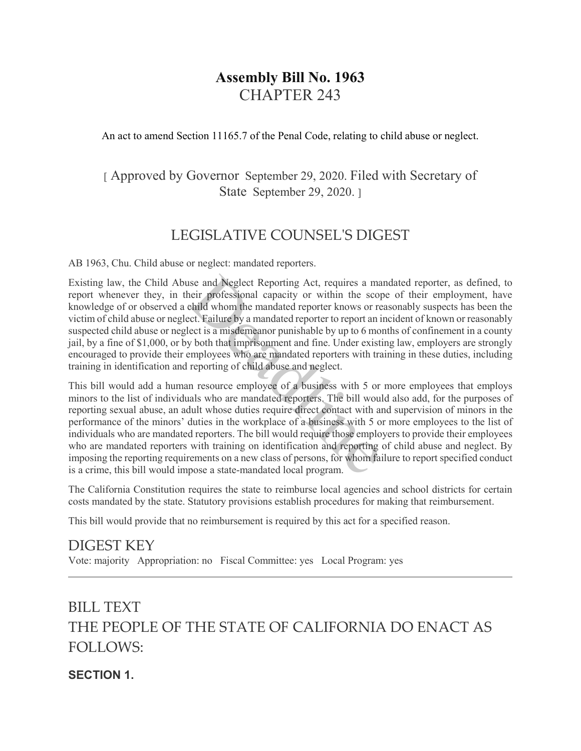# **Assembly Bill No. 1963** CHAPTER 243

An act to amend Section 11165.7 of the Penal Code, relating to child abuse or neglect.

## [ Approved by Governor September 29, 2020. Filed with Secretary of State September 29, 2020.

# LEGISLATIVE COUNSEL'S DIGEST

AB 1963, Chu. Child abuse or neglect: mandated reporters.

Existing law, the Child Abuse and Neglect Reporting Act, requires a mandated reporter, as defined, to report whenever they, in their professional capacity or within the scope of their employment, have knowledge of or observed a child whom the mandated reporter knows or reasonably suspects has been the victim of child abuse or neglect. Failure by a mandated reporter to report an incident of known or reasonably suspected child abuse or neglect is a misdemeanor punishable by up to 6 months of confinement in a county jail, by a fine of \$1,000, or by both that imprisonment and fine. Under existing law, employers are strongly encouraged to provide their employees who are mandated reporters with training in these duties, including training in identification and reporting of child abuse and neglect. use and Neglect Reporting Act, requires a ma<br>neir professional capacity or within the scopebild whom the mandated reporter knows or re<br>ect. Failure by a mandated reporter to report an i<br>lect is a misdemeanor punishable by

This bill would add a human resource employee of a business with 5 or more employees that employs minors to the list of individuals who are mandated reporters. The bill would also add, for the purposes of reporting sexual abuse, an adult whose duties require direct contact with and supervision of minors in the performance of the minors' duties in the workplace of a business with 5 or more employees to the list of individuals who are mandated reporters. The bill would require those employers to provide their employees who are mandated reporters with training on identification and reporting of child abuse and neglect. By imposing the reporting requirements on a new class of persons, for whom failure to report specified conduct is a crime, this bill would impose a state-mandated local program.

The California Constitution requires the state to reimburse local agencies and school districts for certain costs mandated by the state. Statutory provisions establish procedures for making that reimbursement.

This bill would provide that no reimbursement is required by this act for a specified reason.

## DIGEST KEY

Vote: majority Appropriation: no Fiscal Committee: yes Local Program: yes

# BILL TEXT THE PEOPLE OF THE STATE OF CALIFORNIA DO ENACT AS FOLLOWS:

### **SECTION 1.**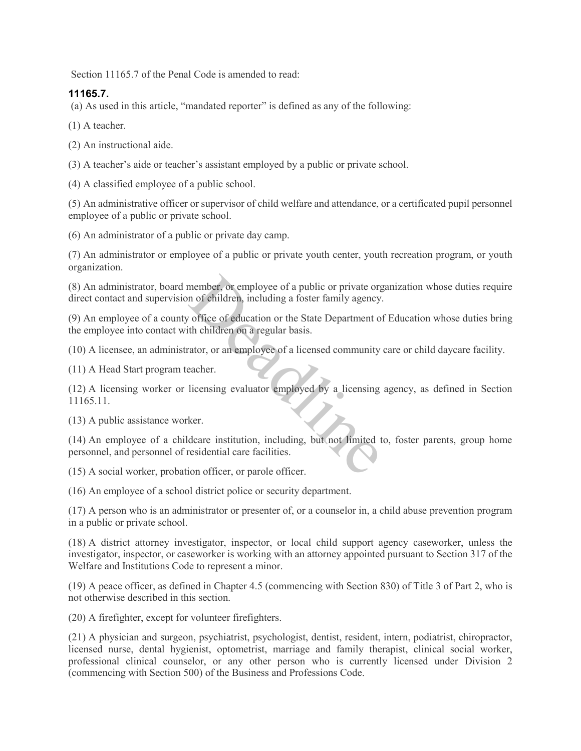Section 11165.7 of the Penal Code is amended to read:

#### **11165.7.**

(a) As used in this article, "mandated reporter" is defined as any of the following:

(1) A teacher.

(2) An instructional aide.

(3) A teacher's aide or teacher's assistant employed by a public or private school.

(4) A classified employee of a public school.

(5) An administrative officer or supervisor of child welfare and attendance, or a certificated pupil personnel employee of a public or private school.

(6) An administrator of a public or private day camp.

(7) An administrator or employee of a public or private youth center, youth recreation program, or youth organization.

(8) An administrator, board member, or employee of a public or private organization whose duties require direct contact and supervision of children, including a foster family agency. member, or employee of a public or private orgen of children, including a foster family agency<br>
office of education or the State Department of<br>
th children on a regular basis.<br>
cator, or an employee of a licensed community

(9) An employee of a county office of education or the State Department of Education whose duties bring the employee into contact with children on a regular basis.

(10) A licensee, an administrator, or an employee of a licensed community care or child daycare facility.

(11) A Head Start program teacher.

(12) A licensing worker or licensing evaluator employed by a licensing agency, as defined in Section 11165.11.

(13) A public assistance worker.

(14) An employee of a childcare institution, including, but not limited to, foster parents, group home personnel, and personnel of residential care facilities.

(15) A social worker, probation officer, or parole officer.

(16) An employee of a school district police or security department.

(17) A person who is an administrator or presenter of, or a counselor in, a child abuse prevention program in a public or private school.

(18) A district attorney investigator, inspector, or local child support agency caseworker, unless the investigator, inspector, or caseworker is working with an attorney appointed pursuant to Section 317 of the Welfare and Institutions Code to represent a minor.

(19) A peace officer, as defined in Chapter 4.5 (commencing with Section 830) of Title 3 of Part 2, who is not otherwise described in this section.

(20) A firefighter, except for volunteer firefighters.

(21) A physician and surgeon, psychiatrist, psychologist, dentist, resident, intern, podiatrist, chiropractor, licensed nurse, dental hygienist, optometrist, marriage and family therapist, clinical social worker, professional clinical counselor, or any other person who is currently licensed under Division 2 (commencing with Section 500) of the Business and Professions Code.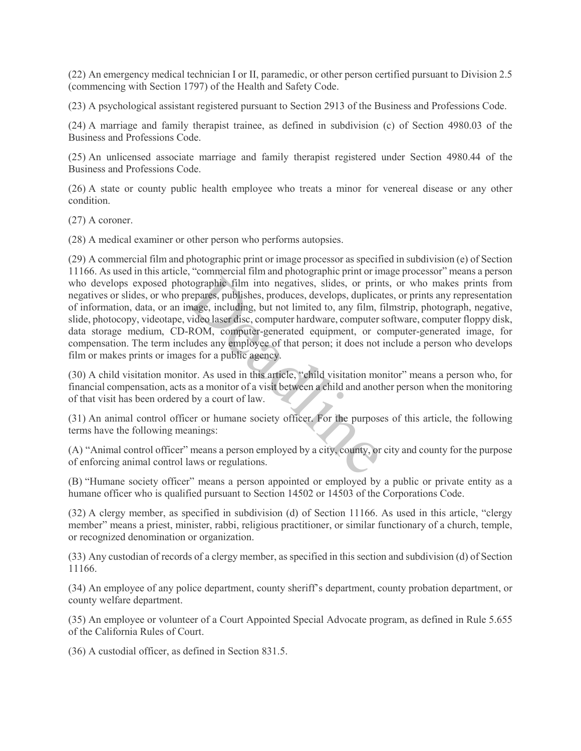(22) An emergency medical technician I or II, paramedic, or other person certified pursuant to Division 2.5 (commencing with Section 1797) of the Health and Safety Code.

(23) A psychological assistant registered pursuant to Section 2913 of the Business and Professions Code.

(24) A marriage and family therapist trainee, as defined in subdivision (c) of Section 4980.03 of the Business and Professions Code.

(25) An unlicensed associate marriage and family therapist registered under Section 4980.44 of the Business and Professions Code.

(26) A state or county public health employee who treats a minor for venereal disease or any other condition.

(27) A coroner.

(28) A medical examiner or other person who performs autopsies.

(29) A commercial film and photographic print or image processor as specified in subdivision (e) of Section 11166. As used in this article, "commercial film and photographic print or image processor" means a person who develops exposed photographic film into negatives, slides, or prints, or who makes prints from negatives or slides, or who prepares, publishes, produces, develops, duplicates, or prints any representation of information, data, or an image, including, but not limited to, any film, filmstrip, photograph, negative, slide, photocopy, videotape, video laser disc, computer hardware, computer software, computer floppy disk, data storage medium, CD-ROM, computer-generated equipment, or computer-generated image, for compensation. The term includes any employee of that person; it does not include a person who develops film or makes prints or images for a public agency. s commercial rim and photographic print of into<br>tographic film into negatives, slides, or princepares, publishes, produces, develops, duplica<br>mage, including, but not limited to, any film, f<br>video laser disc, computer hard

(30) A child visitation monitor. As used in this article, "child visitation monitor" means a person who, for financial compensation, acts as a monitor of a visit between a child and another person when the monitoring of that visit has been ordered by a court of law.

(31) An animal control officer or humane society officer. For the purposes of this article, the following terms have the following meanings:

(A) "Animal control officer" means a person employed by a city, county, or city and county for the purpose of enforcing animal control laws or regulations.

(B) "Humane society officer" means a person appointed or employed by a public or private entity as a humane officer who is qualified pursuant to Section 14502 or 14503 of the Corporations Code.

(32) A clergy member, as specified in subdivision (d) of Section 11166. As used in this article, "clergy member" means a priest, minister, rabbi, religious practitioner, or similar functionary of a church, temple, or recognized denomination or organization.

(33) Any custodian of records of a clergy member, as specified in this section and subdivision (d) of Section 11166.

(34) An employee of any police department, county sheriff's department, county probation department, or county welfare department.

(35) An employee or volunteer of a Court Appointed Special Advocate program, as defined in Rule 5.655 of the California Rules of Court.

(36) A custodial officer, as defined in Section 831.5.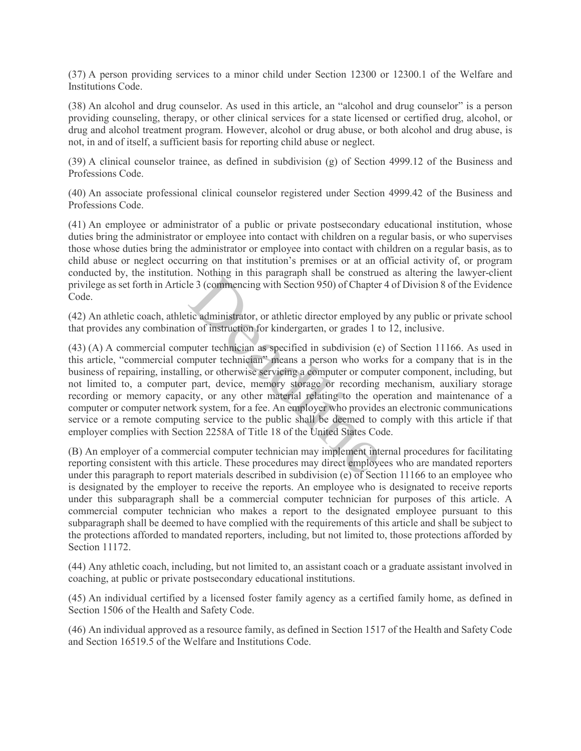(37) A person providing services to a minor child under Section 12300 or 12300.1 of the Welfare and Institutions Code.

(38) An alcohol and drug counselor. As used in this article, an "alcohol and drug counselor" is a person providing counseling, therapy, or other clinical services for a state licensed or certified drug, alcohol, or drug and alcohol treatment program. However, alcohol or drug abuse, or both alcohol and drug abuse, is not, in and of itself, a sufficient basis for reporting child abuse or neglect.

(39) A clinical counselor trainee, as defined in subdivision (g) of Section 4999.12 of the Business and Professions Code.

(40) An associate professional clinical counselor registered under Section 4999.42 of the Business and Professions Code.

(41) An employee or administrator of a public or private postsecondary educational institution, whose duties bring the administrator or employee into contact with children on a regular basis, or who supervises those whose duties bring the administrator or employee into contact with children on a regular basis, as to child abuse or neglect occurring on that institution's premises or at an official activity of, or program conducted by, the institution. Nothing in this paragraph shall be construed as altering the lawyer-client privilege as set forth in Article 3 (commencing with Section 950) of Chapter 4 of Division 8 of the Evidence Code.

(42) An athletic coach, athletic administrator, or athletic director employed by any public or private school that provides any combination of instruction for kindergarten, or grades 1 to 12, inclusive.

(43) (A) A commercial computer technician as specified in subdivision (e) of Section 11166. As used in this article, "commercial computer technician" means a person who works for a company that is in the business of repairing, installing, or otherwise servicing a computer or computer component, including, but not limited to, a computer part, device, memory storage or recording mechanism, auxiliary storage recording or memory capacity, or any other material relating to the operation and maintenance of a computer or computer network system, for a fee. An employer who provides an electronic communications service or a remote computing service to the public shall be deemed to comply with this article if that employer complies with Section 2258A of Title 18 of the United States Code. I. Nothing in this paragraph shart oc constructed in a security of Chapter<br>
E 3 (commencing with Section 950) of Chapter<br>
tic administrator, or athletic director employed<br>
on of instruction for kindergarten, or grades 1 to

(B) An employer of a commercial computer technician may implement internal procedures for facilitating reporting consistent with this article. These procedures may direct employees who are mandated reporters under this paragraph to report materials described in subdivision (e) of Section 11166 to an employee who is designated by the employer to receive the reports. An employee who is designated to receive reports under this subparagraph shall be a commercial computer technician for purposes of this article. A commercial computer technician who makes a report to the designated employee pursuant to this subparagraph shall be deemed to have complied with the requirements of this article and shall be subject to the protections afforded to mandated reporters, including, but not limited to, those protections afforded by Section 11172.

(44) Any athletic coach, including, but not limited to, an assistant coach or a graduate assistant involved in coaching, at public or private postsecondary educational institutions.

(45) An individual certified by a licensed foster family agency as a certified family home, as defined in Section 1506 of the Health and Safety Code.

(46) An individual approved as a resource family, as defined in Section 1517 of the Health and Safety Code and Section 16519.5 of the Welfare and Institutions Code.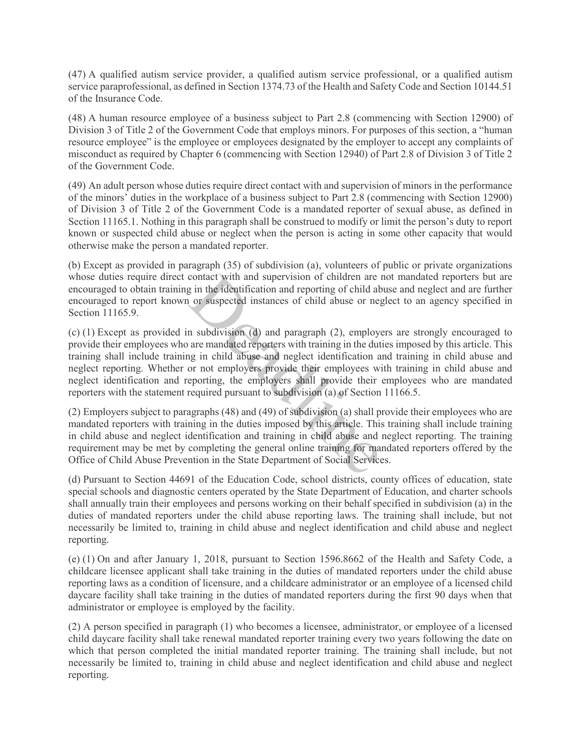(47) A qualified autism service provider, a qualified autism service professional, or a qualified autism service paraprofessional, as defined in Section 1374.73 of the Health and Safety Code and Section 10144.51 of the Insurance Code.

(48) A human resource employee of a business subject to Part 2.8 (commencing with Section 12900) of Division 3 of Title 2 of the Government Code that employs minors. For purposes of this section, a "human resource employee" is the employee or employees designated by the employer to accept any complaints of misconduct as required by Chapter 6 (commencing with Section 12940) of Part 2.8 of Division 3 of Title 2 of the Government Code.

(49) An adult person whose duties require direct contact with and supervision of minors in the performance of the minors' duties in the workplace of a business subject to Part 2.8 (commencing with Section 12900) of Division 3 of Title 2 of the Government Code is a mandated reporter of sexual abuse, as defined in Section 11165.1. Nothing in this paragraph shall be construed to modify or limit the person's duty to report known or suspected child abuse or neglect when the person is acting in some other capacity that would otherwise make the person a mandated reporter.

(b) Except as provided in paragraph (35) of subdivision (a), volunteers of public or private organizations whose duties require direct contact with and supervision of children are not mandated reporters but are encouraged to obtain training in the identification and reporting of child abuse and neglect and are further encouraged to report known or suspected instances of child abuse or neglect to an agency specified in Section 11165.9.

(c) (1) Except as provided in subdivision (d) and paragraph (2), employers are strongly encouraged to provide their employees who are mandated reporters with training in the duties imposed by this article. This training shall include training in child abuse and neglect identification and training in child abuse and neglect reporting. Whether or not employers provide their employees with training in child abuse and neglect identification and reporting, the employers shall provide their employees who are mandated reporters with the statement required pursuant to subdivision (a) of Section 11166.5. contact with and supervision of children are ign in the identification and reporting of child ab<br>a or suspected instances of child abuse or neg<br>n subdivision (d) and paragraph (2), employe<br>are mandated reporters with train

(2) Employers subject to paragraphs (48) and (49) of subdivision (a) shall provide their employees who are mandated reporters with training in the duties imposed by this article. This training shall include training in child abuse and neglect identification and training in child abuse and neglect reporting. The training requirement may be met by completing the general online training for mandated reporters offered by the Office of Child Abuse Prevention in the State Department of Social Services.

(d) Pursuant to Section 44691 of the Education Code, school districts, county offices of education, state special schools and diagnostic centers operated by the State Department of Education, and charter schools shall annually train their employees and persons working on their behalf specified in subdivision (a) in the duties of mandated reporters under the child abuse reporting laws. The training shall include, but not necessarily be limited to, training in child abuse and neglect identification and child abuse and neglect reporting.

(e) (1) On and after January 1, 2018, pursuant to Section 1596.8662 of the Health and Safety Code, a childcare licensee applicant shall take training in the duties of mandated reporters under the child abuse reporting laws as a condition of licensure, and a childcare administrator or an employee of a licensed child daycare facility shall take training in the duties of mandated reporters during the first 90 days when that administrator or employee is employed by the facility.

(2) A person specified in paragraph (1) who becomes a licensee, administrator, or employee of a licensed child daycare facility shall take renewal mandated reporter training every two years following the date on which that person completed the initial mandated reporter training. The training shall include, but not necessarily be limited to, training in child abuse and neglect identification and child abuse and neglect reporting.